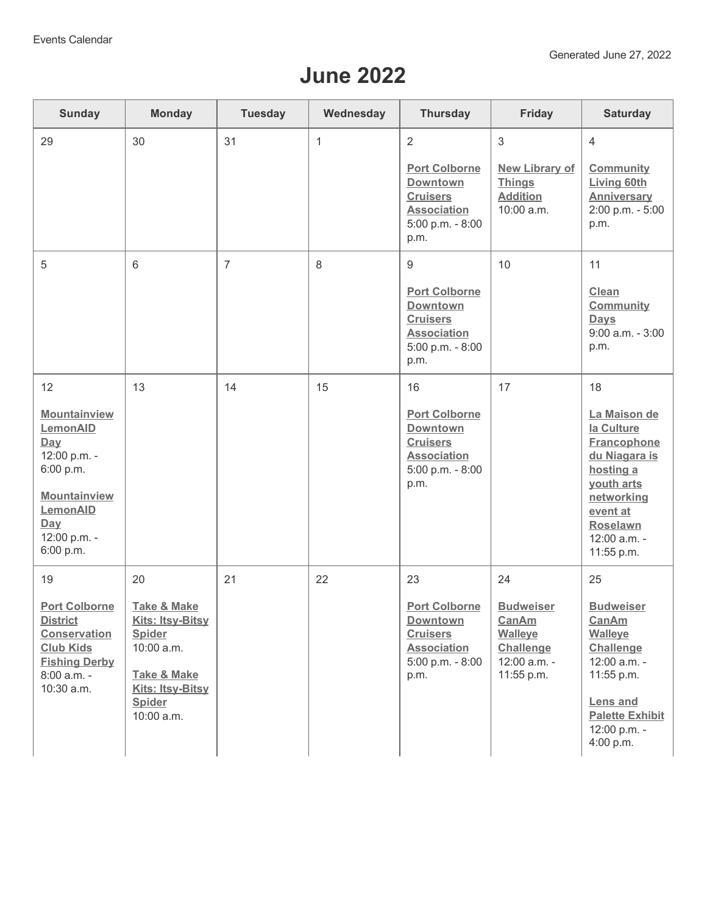## **June 2022**

| <b>Sunday</b>                                                                                                                           | <b>Monday</b>                                                                                                                                   | <b>Tuesday</b> | Wednesday    | <b>Thursday</b>                                                                                              | Friday                                                                                        | <b>Saturday</b>                                                                                                                                                  |
|-----------------------------------------------------------------------------------------------------------------------------------------|-------------------------------------------------------------------------------------------------------------------------------------------------|----------------|--------------|--------------------------------------------------------------------------------------------------------------|-----------------------------------------------------------------------------------------------|------------------------------------------------------------------------------------------------------------------------------------------------------------------|
| 29                                                                                                                                      | 30                                                                                                                                              | 31             | $\mathbf{1}$ | $\overline{2}$                                                                                               | $\mathfrak{S}$                                                                                | $\overline{4}$                                                                                                                                                   |
|                                                                                                                                         |                                                                                                                                                 |                |              | <b>Port Colborne</b><br><b>Downtown</b><br><b>Cruisers</b><br><b>Association</b><br>5:00 p.m. - 8:00<br>p.m. | <b>New Library of</b><br><b>Things</b><br><b>Addition</b><br>10:00 a.m.                       | Community<br><b>Living 60th</b><br><b>Anniversary</b><br>2:00 p.m. - 5:00<br>p.m.                                                                                |
| 5                                                                                                                                       | 6                                                                                                                                               | $\overline{7}$ | 8            | 9                                                                                                            | 10                                                                                            | 11                                                                                                                                                               |
|                                                                                                                                         |                                                                                                                                                 |                |              | <b>Port Colborne</b><br>Downtown<br><b>Cruisers</b><br><b>Association</b><br>5:00 p.m. - 8:00<br>p.m.        |                                                                                               | Clean<br><b>Community</b><br><b>Days</b><br>$9:00$ a.m. - $3:00$<br>p.m.                                                                                         |
| 12                                                                                                                                      | 13                                                                                                                                              | 14             | 15           | 16                                                                                                           | 17                                                                                            | 18                                                                                                                                                               |
| Mountainview<br>LemonAID<br>Day<br>12:00 p.m. -<br>6:00 p.m.<br>Mountainview<br>LemonAID<br>Day<br>12:00 p.m. -<br>6:00 p.m.            |                                                                                                                                                 |                |              | <b>Port Colborne</b><br>Downtown<br><b>Cruisers</b><br><b>Association</b><br>5:00 p.m. - 8:00<br>p.m.        |                                                                                               | La Maison de<br>la Culture<br><b>Francophone</b><br>du Niagara is<br>hosting a<br>youth arts<br>networking<br>event at<br>Roselawn<br>12:00 a.m. -<br>11:55 p.m. |
| 19                                                                                                                                      | 20                                                                                                                                              | 21             | 22           | 23                                                                                                           | 24                                                                                            | 25                                                                                                                                                               |
| <b>Port Colborne</b><br><b>District</b><br><b>Conservation</b><br><b>Club Kids</b><br><b>Fishing Derby</b><br>8:00 a.m. -<br>10:30 a.m. | <b>Take &amp; Make</b><br>Kits: Itsy-Bitsy<br><b>Spider</b><br>10:00 a.m.<br><b>Take &amp; Make</b><br>Kits: Itsy-Bitsy<br>Spider<br>10:00 a.m. |                |              | <b>Port Colborne</b><br>Downtown<br><b>Cruisers</b><br><b>Association</b><br>5:00 p.m. - 8:00<br>p.m.        | <b>Budweiser</b><br><b>CanAm</b><br><b>Walleye</b><br>Challenge<br>12:00 a.m. -<br>11:55 p.m. | <b>Budweiser</b><br>CanAm<br><b>Walleye</b><br>Challenge<br>12:00 a.m. -<br>11:55 p.m.<br><b>Lens and</b><br><b>Palette Exhibit</b><br>12:00 p.m. -<br>4:00 p.m. |